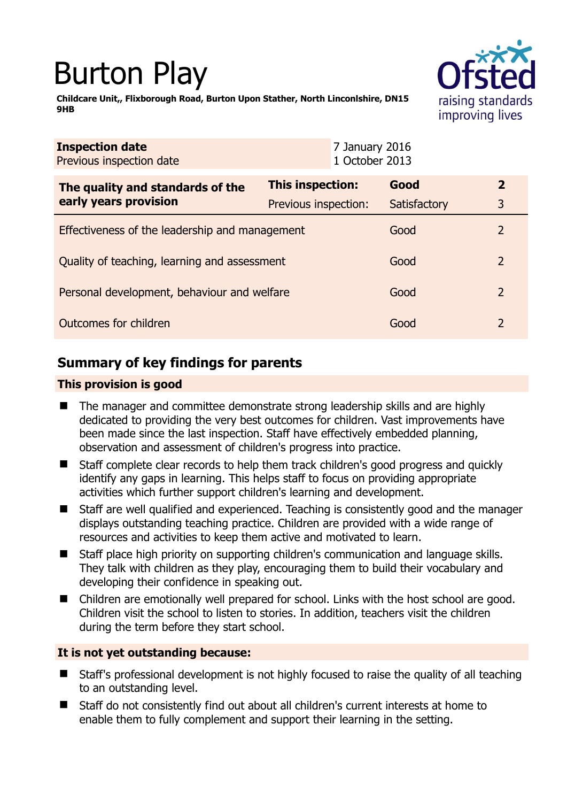# Burton Play

raising standards improving lives

**Childcare Unit,, Flixborough Road, Burton Upon Stather, North Linconlshire, DN15 9HB** 

| <b>Inspection date</b><br>Previous inspection date        | 7 January 2016<br>1 October 2013 |              |                |
|-----------------------------------------------------------|----------------------------------|--------------|----------------|
| The quality and standards of the<br>early years provision | This inspection:                 | Good         | $\overline{2}$ |
|                                                           | Previous inspection:             | Satisfactory | 3              |
| Effectiveness of the leadership and management            |                                  | Good         | 2              |
| Quality of teaching, learning and assessment              |                                  | Good         | 2              |
| Personal development, behaviour and welfare               |                                  | Good         | 2              |
| Outcomes for children                                     |                                  | Good         | $\overline{2}$ |

# **Summary of key findings for parents**

## **This provision is good**

- The manager and committee demonstrate strong leadership skills and are highly dedicated to providing the very best outcomes for children. Vast improvements have been made since the last inspection. Staff have effectively embedded planning, observation and assessment of children's progress into practice.
- Staff complete clear records to help them track children's good progress and quickly identify any gaps in learning. This helps staff to focus on providing appropriate activities which further support children's learning and development.
- Staff are well qualified and experienced. Teaching is consistently good and the manager displays outstanding teaching practice. Children are provided with a wide range of resources and activities to keep them active and motivated to learn.
- Staff place high priority on supporting children's communication and language skills. They talk with children as they play, encouraging them to build their vocabulary and developing their confidence in speaking out.
- Children are emotionally well prepared for school. Links with the host school are good. Children visit the school to listen to stories. In addition, teachers visit the children during the term before they start school.

## **It is not yet outstanding because:**

- Staff's professional development is not highly focused to raise the quality of all teaching to an outstanding level.
- Staff do not consistently find out about all children's current interests at home to enable them to fully complement and support their learning in the setting.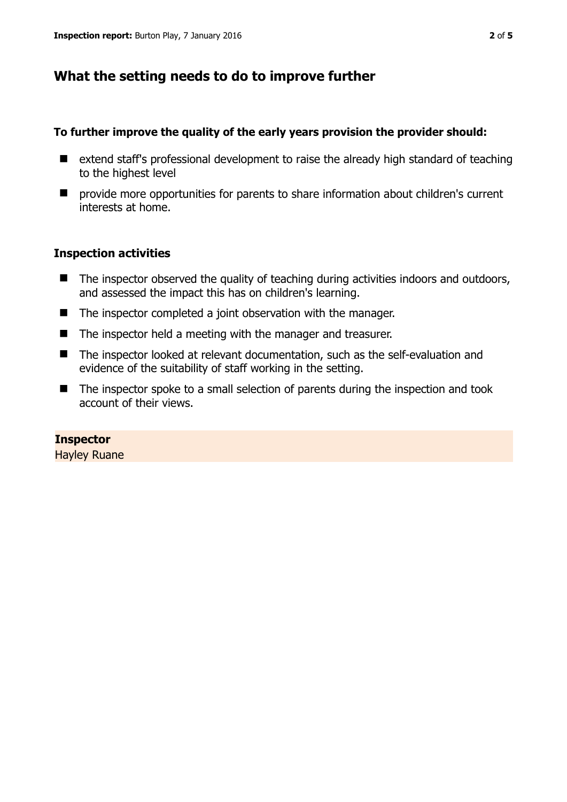# **What the setting needs to do to improve further**

#### **To further improve the quality of the early years provision the provider should:**

- extend staff's professional development to raise the already high standard of teaching to the highest level
- provide more opportunities for parents to share information about children's current interests at home.

## **Inspection activities**

- The inspector observed the quality of teaching during activities indoors and outdoors, and assessed the impact this has on children's learning.
- The inspector completed a joint observation with the manager.
- The inspector held a meeting with the manager and treasurer.
- The inspector looked at relevant documentation, such as the self-evaluation and evidence of the suitability of staff working in the setting.
- The inspector spoke to a small selection of parents during the inspection and took account of their views.

#### **Inspector**

Hayley Ruane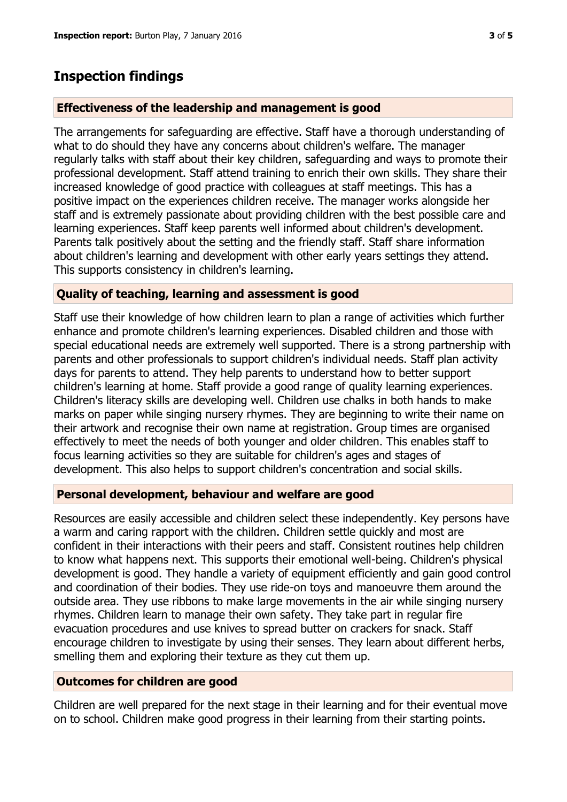# **Inspection findings**

## **Effectiveness of the leadership and management is good**

The arrangements for safeguarding are effective. Staff have a thorough understanding of what to do should they have any concerns about children's welfare. The manager regularly talks with staff about their key children, safeguarding and ways to promote their professional development. Staff attend training to enrich their own skills. They share their increased knowledge of good practice with colleagues at staff meetings. This has a positive impact on the experiences children receive. The manager works alongside her staff and is extremely passionate about providing children with the best possible care and learning experiences. Staff keep parents well informed about children's development. Parents talk positively about the setting and the friendly staff. Staff share information about children's learning and development with other early years settings they attend. This supports consistency in children's learning.

## **Quality of teaching, learning and assessment is good**

Staff use their knowledge of how children learn to plan a range of activities which further enhance and promote children's learning experiences. Disabled children and those with special educational needs are extremely well supported. There is a strong partnership with parents and other professionals to support children's individual needs. Staff plan activity days for parents to attend. They help parents to understand how to better support children's learning at home. Staff provide a good range of quality learning experiences. Children's literacy skills are developing well. Children use chalks in both hands to make marks on paper while singing nursery rhymes. They are beginning to write their name on their artwork and recognise their own name at registration. Group times are organised effectively to meet the needs of both younger and older children. This enables staff to focus learning activities so they are suitable for children's ages and stages of development. This also helps to support children's concentration and social skills.

#### **Personal development, behaviour and welfare are good**

Resources are easily accessible and children select these independently. Key persons have a warm and caring rapport with the children. Children settle quickly and most are confident in their interactions with their peers and staff. Consistent routines help children to know what happens next. This supports their emotional well-being. Children's physical development is good. They handle a variety of equipment efficiently and gain good control and coordination of their bodies. They use ride-on toys and manoeuvre them around the outside area. They use ribbons to make large movements in the air while singing nursery rhymes. Children learn to manage their own safety. They take part in regular fire evacuation procedures and use knives to spread butter on crackers for snack. Staff encourage children to investigate by using their senses. They learn about different herbs, smelling them and exploring their texture as they cut them up.

#### **Outcomes for children are good**

Children are well prepared for the next stage in their learning and for their eventual move on to school. Children make good progress in their learning from their starting points.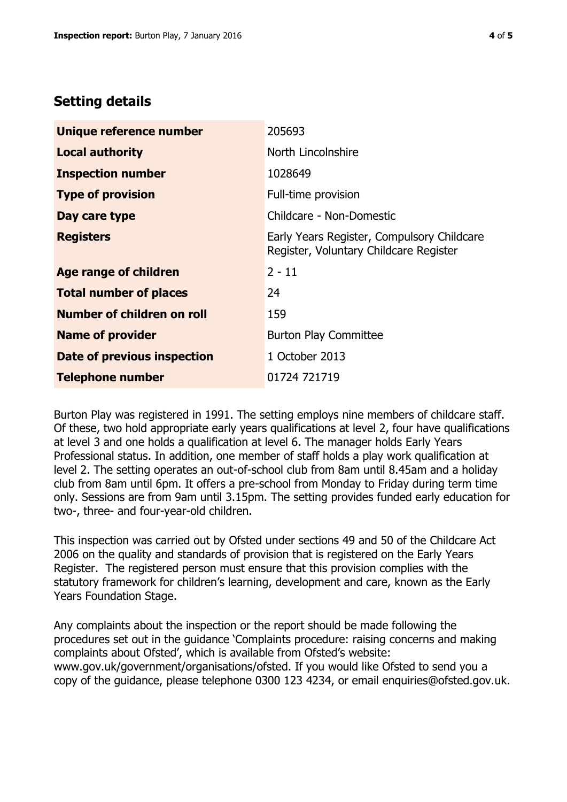# **Setting details**

| Unique reference number       | 205693                                                                               |  |
|-------------------------------|--------------------------------------------------------------------------------------|--|
| <b>Local authority</b>        | North Lincolnshire                                                                   |  |
| <b>Inspection number</b>      | 1028649                                                                              |  |
| <b>Type of provision</b>      | Full-time provision                                                                  |  |
| Day care type                 | Childcare - Non-Domestic                                                             |  |
| <b>Registers</b>              | Early Years Register, Compulsory Childcare<br>Register, Voluntary Childcare Register |  |
| <b>Age range of children</b>  | $2 - 11$                                                                             |  |
| <b>Total number of places</b> | 24                                                                                   |  |
| Number of children on roll    | 159                                                                                  |  |
| <b>Name of provider</b>       | <b>Burton Play Committee</b>                                                         |  |
| Date of previous inspection   | 1 October 2013                                                                       |  |
| <b>Telephone number</b>       | 01724 721719                                                                         |  |

Burton Play was registered in 1991. The setting employs nine members of childcare staff. Of these, two hold appropriate early years qualifications at level 2, four have qualifications at level 3 and one holds a qualification at level 6. The manager holds Early Years Professional status. In addition, one member of staff holds a play work qualification at level 2. The setting operates an out-of-school club from 8am until 8.45am and a holiday club from 8am until 6pm. It offers a pre-school from Monday to Friday during term time only. Sessions are from 9am until 3.15pm. The setting provides funded early education for two-, three- and four-year-old children.

This inspection was carried out by Ofsted under sections 49 and 50 of the Childcare Act 2006 on the quality and standards of provision that is registered on the Early Years Register. The registered person must ensure that this provision complies with the statutory framework for children's learning, development and care, known as the Early Years Foundation Stage.

Any complaints about the inspection or the report should be made following the procedures set out in the guidance 'Complaints procedure: raising concerns and making complaints about Ofsted', which is available from Ofsted's website: www.gov.uk/government/organisations/ofsted. If you would like Ofsted to send you a copy of the guidance, please telephone 0300 123 4234, or email enquiries@ofsted.gov.uk.